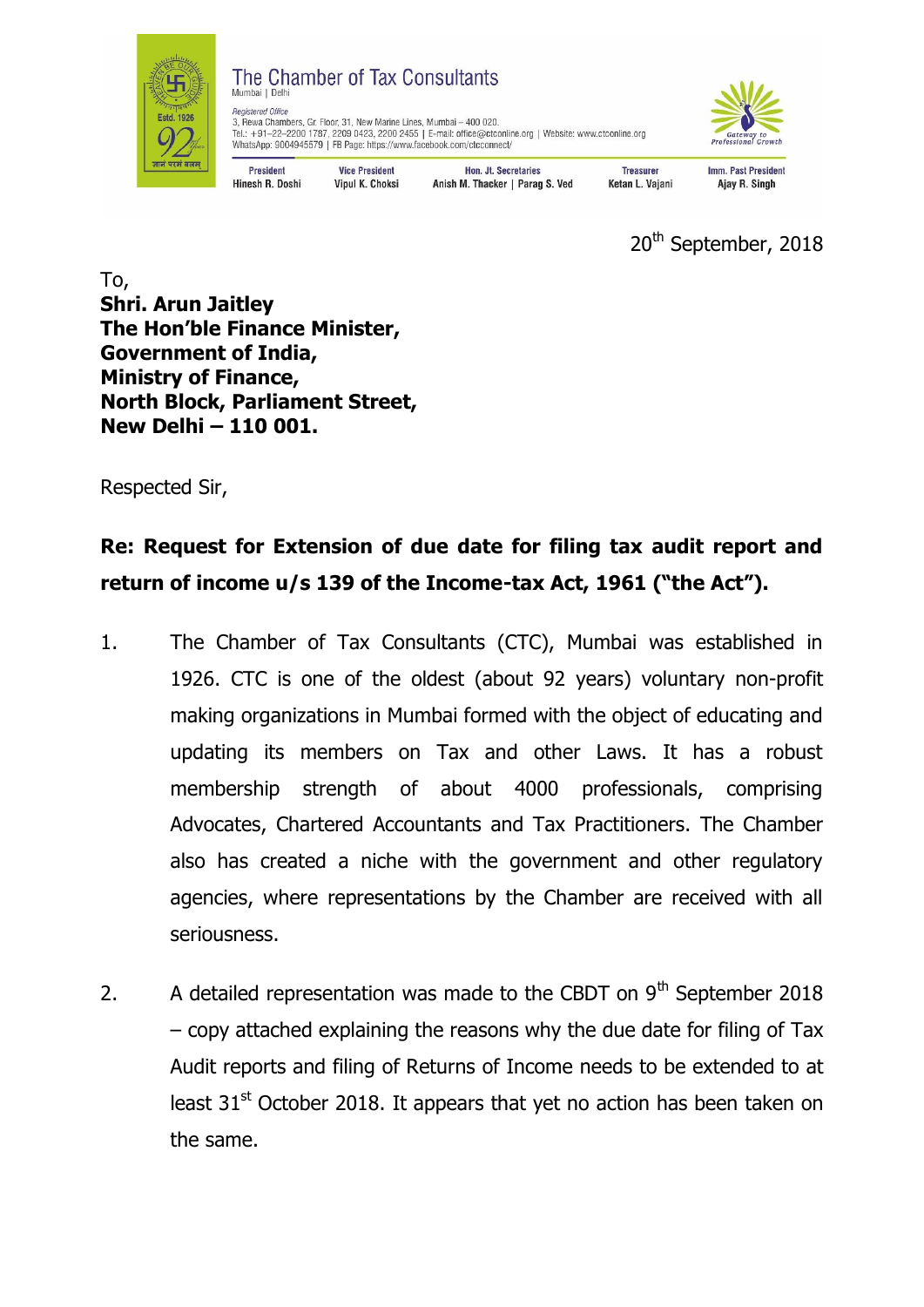

## The Chamber of Tax Consultants Mumbai I Delhi

**Vice President** 

**Vipul K. Choksi** 

Registered Office regissiere omce<br>3, Rewa Chambers, Gr. Floor, 31, New Marine Lines, Mumbai – 400 020.<br>Tel.: +91–22–2200 1787, 2209 0423, 2200 2455 | E-mail: office@ctconline.org | Website: www.ctconline.org<br>WhatsApp: 9004945579 | FB Page:



**President** Hinesh R. Doshi

Hon. Jt. Secretaries Anish M. Thacker | Parag S. Ved **Imm. Past President** Ajay R. Singh

**Treasurer** 

Ketan L. Vajani

20<sup>th</sup> September, 2018

To, **Shri. Arun Jaitley The Hon'ble Finance Minister, Government of India, Ministry of Finance, North Block, Parliament Street, New Delhi – 110 001.**

Respected Sir,

## **Re: Request for Extension of due date for filing tax audit report and return of income u/s 139 of the Income-tax Act, 1961 ("the Act").**

- 1. The Chamber of Tax Consultants (CTC), Mumbai was established in 1926. CTC is one of the oldest (about 92 years) voluntary non-profit making organizations in Mumbai formed with the object of educating and updating its members on Tax and other Laws. It has a robust membership strength of about 4000 professionals, comprising Advocates, Chartered Accountants and Tax Practitioners. The Chamber also has created a niche with the government and other regulatory agencies, where representations by the Chamber are received with all seriousness.
- 2. A detailed representation was made to the CBDT on  $9<sup>th</sup>$  September 2018 – copy attached explaining the reasons why the due date for filing of Tax Audit reports and filing of Returns of Income needs to be extended to at least 31<sup>st</sup> October 2018. It appears that yet no action has been taken on the same.